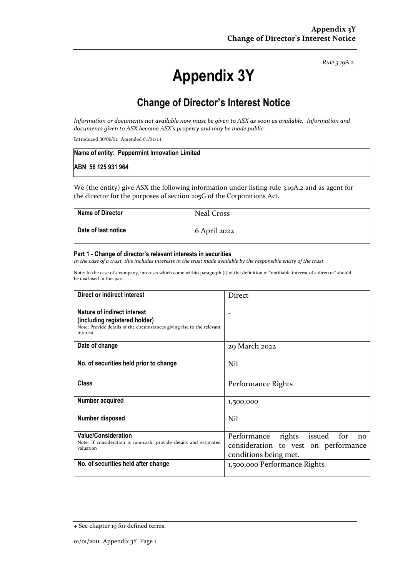*Rule 3.19A.2*

# **Appendix 3Y**

# **Change of Director's Interest Notice**

*Information or documents not available now must be given to ASX as soon as available. Information and documents given to ASX become ASX's property and may be made public.*

Introduced 30/09/01 Amended 01/01/11

|                    | Name of entity: Peppermint Innovation Limited |
|--------------------|-----------------------------------------------|
| ABN 56 125 931 964 |                                               |

We (the entity) give ASX the following information under listing rule 3.19A.2 and as agent for the director for the purposes of section 205G of the Corporations Act.

| <b>Name of Director</b> | <b>Neal Cross</b> |
|-------------------------|-------------------|
| Date of last notice     | 6 April 2022      |

#### **Part 1 - Change of director's relevant interests in securities**

*In the case of a trust, this includes interests in the trust made available by the responsible entity of the trust*

Note: In the case of a company, interests which come within paragraph (i) of the definition of "notifiable interest of a director" should be disclosed in this part.

| Direct or indirect interest                                                                                                                         | <b>Direct</b>                                                                                              |  |
|-----------------------------------------------------------------------------------------------------------------------------------------------------|------------------------------------------------------------------------------------------------------------|--|
| Nature of indirect interest<br>(including registered holder)<br>Note: Provide details of the circumstances giving rise to the relevant<br>interest. |                                                                                                            |  |
| Date of change                                                                                                                                      | 29 March 2022                                                                                              |  |
| No. of securities held prior to change                                                                                                              | Nil                                                                                                        |  |
| <b>Class</b>                                                                                                                                        | Performance Rights                                                                                         |  |
| Number acquired                                                                                                                                     | 1,500,000                                                                                                  |  |
| <b>Number disposed</b>                                                                                                                              | Nil                                                                                                        |  |
| <b>Value/Consideration</b><br>Note: If consideration is non-cash, provide details and estimated<br>valuation                                        | Performance<br>rights issued<br>for<br>no<br>consideration to vest on performance<br>conditions being met. |  |
| No. of securities held after change                                                                                                                 | 1,500,000 Performance Rights                                                                               |  |

<sup>+</sup> See chapter 19 for defined terms.